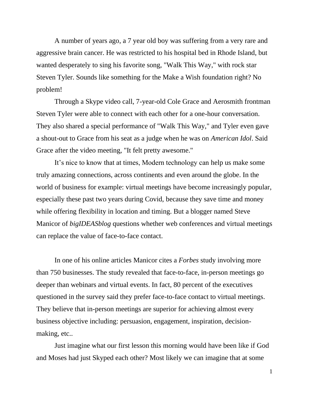A number of years ago, a 7 year old boy was suffering from a very rare and aggressive brain cancer. He was restricted to his hospital bed in Rhode Island, but wanted desperately to sing his favorite song, "Walk This Way," with rock star Steven Tyler. Sounds like something for the Make a Wish foundation right? No problem!

Through a Skype video call, 7-year-old Cole Grace and Aerosmith frontman Steven Tyler were able to connect with each other for a one-hour conversation. They also shared a special performance of "Walk This Way," and Tyler even gave a shout-out to Grace from his seat as a judge when he was on *American Idol*. Said Grace after the video meeting, "It felt pretty awesome."

It's nice to know that at times, Modern technology can help us make some truly amazing connections, across continents and even around the globe. In the world of business for example: virtual meetings have become increasingly popular, especially these past two years during Covid, because they save time and money while offering flexibility in location and timing. But a blogger named Steve Manicor of *bigIDEASblog* questions whether web conferences and virtual meetings can replace the value of face-to-face contact.

In one of his online articles Manicor cites a *Forbes* study involving more than 750 businesses. The study revealed that face-to-face, in-person meetings go deeper than webinars and virtual events. In fact, 80 percent of the executives questioned in the survey said they prefer face-to-face contact to virtual meetings. They believe that in-person meetings are superior for achieving almost every business objective including: persuasion, engagement, inspiration, decisionmaking, etc..

Just imagine what our first lesson this morning would have been like if God and Moses had just Skyped each other? Most likely we can imagine that at some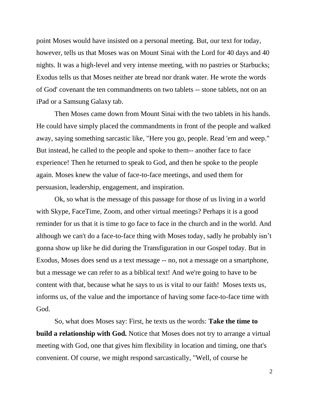point Moses would have insisted on a personal meeting. But, our text for today, however, tells us that Moses was on Mount Sinai with the Lord for 40 days and 40 nights. It was a high-level and very intense meeting, with no pastries or Starbucks; Exodus tells us that Moses neither ate bread nor drank water. He wrote the words of God' covenant the ten commandments on two tablets -- stone tablets, not on an iPad or a Samsung Galaxy tab.

Then Moses came down from Mount Sinai with the two tablets in his hands. He could have simply placed the commandments in front of the people and walked away, saying something sarcastic like, "Here you go, people. Read 'em and weep." But instead, he called to the people and spoke to them-- another face to face experience! Then he returned to speak to God, and then he spoke to the people again. Moses knew the value of face-to-face meetings, and used them for persuasion, leadership, engagement, and inspiration.

Ok, so what is the message of this passage for those of us living in a world with Skype, FaceTime, Zoom, and other virtual meetings? Perhaps it is a good reminder for us that it is time to go face to face in the church and in the world. And although we can't do a face-to-face thing with Moses today, sadly he probably isn't gonna show up like he did during the Transfiguration in our Gospel today. But in Exodus, Moses does send us a text message -- no, not a message on a smartphone, but a message we can refer to as a biblical text! And we're going to have to be content with that, because what he says to us is vital to our faith! Moses texts us, informs us, of the value and the importance of having some face-to-face time with God.

So, what does Moses say: First, he texts us the words: **Take the time to build a relationship with God***.* Notice that Moses does not try to arrange a virtual meeting with God, one that gives him flexibility in location and timing, one that's convenient. Of course, we might respond sarcastically, "Well, of course he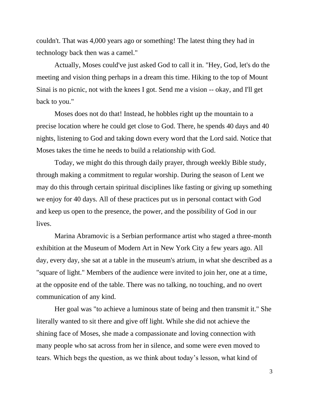couldn't. That was 4,000 years ago or something! The latest thing they had in technology back then was a camel."

Actually, Moses could've just asked God to call it in. "Hey, God, let's do the meeting and vision thing perhaps in a dream this time. Hiking to the top of Mount Sinai is no picnic, not with the knees I got. Send me a vision -- okay, and I'll get back to you."

Moses does not do that! Instead, he hobbles right up the mountain to a precise location where he could get close to God. There, he spends 40 days and 40 nights, listening to God and taking down every word that the Lord said. Notice that Moses takes the time he needs to build a relationship with God.

Today, we might do this through daily prayer, through weekly Bible study, through making a commitment to regular worship. During the season of Lent we may do this through certain spiritual disciplines like fasting or giving up something we enjoy for 40 days. All of these practices put us in personal contact with God and keep us open to the presence, the power, and the possibility of God in our lives.

Marina Abramovic is a Serbian performance artist who staged a three-month exhibition at the Museum of Modern Art in New York City a few years ago. All day, every day, she sat at a table in the museum's atrium, in what she described as a "square of light." Members of the audience were invited to join her, one at a time, at the opposite end of the table. There was no talking, no touching, and no overt communication of any kind.

Her goal was "to achieve a luminous state of being and then transmit it." She literally wanted to sit there and give off light. While she did not achieve the shining face of Moses, she made a compassionate and loving connection with many people who sat across from her in silence, and some were even moved to tears. Which begs the question, as we think about today's lesson, what kind of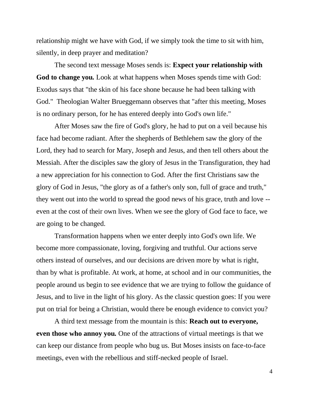relationship might we have with God, if we simply took the time to sit with him, silently, in deep prayer and meditation?

The second text message Moses sends is: **Expect your relationship with God to change you***.* Look at what happens when Moses spends time with God: Exodus says that "the skin of his face shone because he had been talking with God." Theologian Walter Brueggemann observes that "after this meeting, Moses is no ordinary person, for he has entered deeply into God's own life."

After Moses saw the fire of God's glory, he had to put on a veil because his face had become radiant. After the shepherds of Bethlehem saw the glory of the Lord, they had to search for Mary, Joseph and Jesus, and then tell others about the Messiah. After the disciples saw the glory of Jesus in the Transfiguration, they had a new appreciation for his connection to God. After the first Christians saw the glory of God in Jesus, "the glory as of a father's only son, full of grace and truth," they went out into the world to spread the good news of his grace, truth and love - even at the cost of their own lives. When we see the glory of God face to face, we are going to be changed.

Transformation happens when we enter deeply into God's own life. We become more compassionate, loving, forgiving and truthful. Our actions serve others instead of ourselves, and our decisions are driven more by what is right, than by what is profitable. At work, at home, at school and in our communities, the people around us begin to see evidence that we are trying to follow the guidance of Jesus, and to live in the light of his glory. As the classic question goes: If you were put on trial for being a Christian, would there be enough evidence to convict you?

A third text message from the mountain is this: **Reach out to everyone, even those who annoy you***.* One of the attractions of virtual meetings is that we can keep our distance from people who bug us. But Moses insists on face-to-face meetings, even with the rebellious and stiff-necked people of Israel.